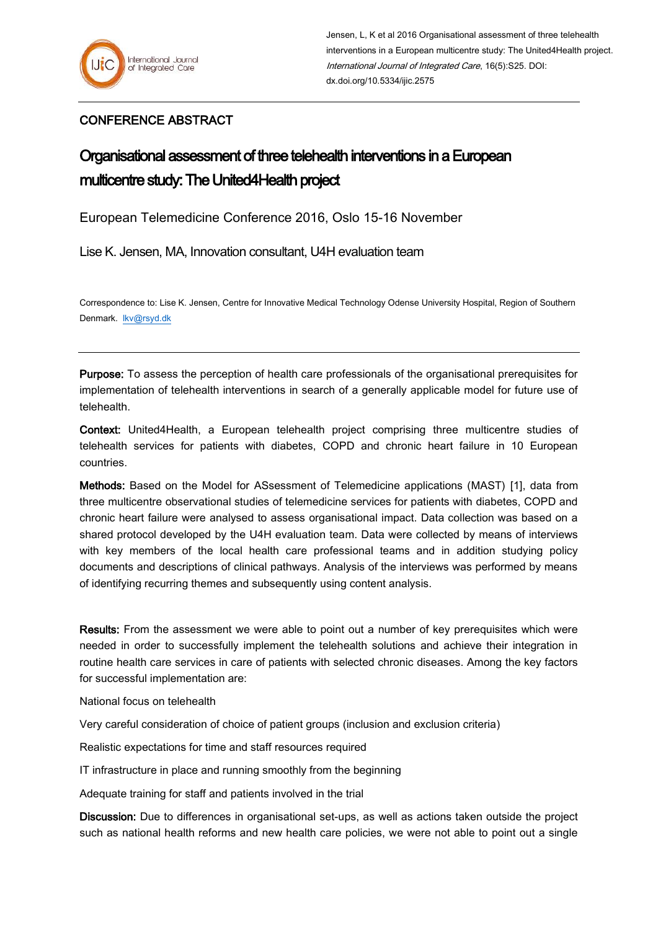## CONFERENCE ABSTRACT

## Organisational assessment of three telehealth interventions in a European multicentre study: The United4Health project

European Telemedicine Conference 2016, Oslo 15-16 November

Lise K. Jensen, MA, Innovation consultant, U4H evaluation team

Correspondence to: Lise K. Jensen, Centre for Innovative Medical Technology Odense University Hospital, Region of Southern Denmark. [lkv@rsyd.dk](mailto:lkv@rsyd.dk)

Purpose: To assess the perception of health care professionals of the organisational prerequisites for implementation of telehealth interventions in search of a generally applicable model for future use of telehealth.

Context: United4Health, a European telehealth project comprising three multicentre studies of telehealth services for patients with diabetes, COPD and chronic heart failure in 10 European countries.

Methods: Based on the Model for ASsessment of Telemedicine applications (MAST) [1], data from three multicentre observational studies of telemedicine services for patients with diabetes, COPD and chronic heart failure were analysed to assess organisational impact. Data collection was based on a shared protocol developed by the U4H evaluation team. Data were collected by means of interviews with key members of the local health care professional teams and in addition studying policy documents and descriptions of clinical pathways. Analysis of the interviews was performed by means of identifying recurring themes and subsequently using content analysis.

Results: From the assessment we were able to point out a number of key prerequisites which were needed in order to successfully implement the telehealth solutions and achieve their integration in routine health care services in care of patients with selected chronic diseases. Among the key factors for successful implementation are:

National focus on telehealth

Very careful consideration of choice of patient groups (inclusion and exclusion criteria)

Realistic expectations for time and staff resources required

IT infrastructure in place and running smoothly from the beginning

Adequate training for staff and patients involved in the trial

Discussion: Due to differences in organisational set-ups, as well as actions taken outside the project such as national health reforms and new health care policies, we were not able to point out a single